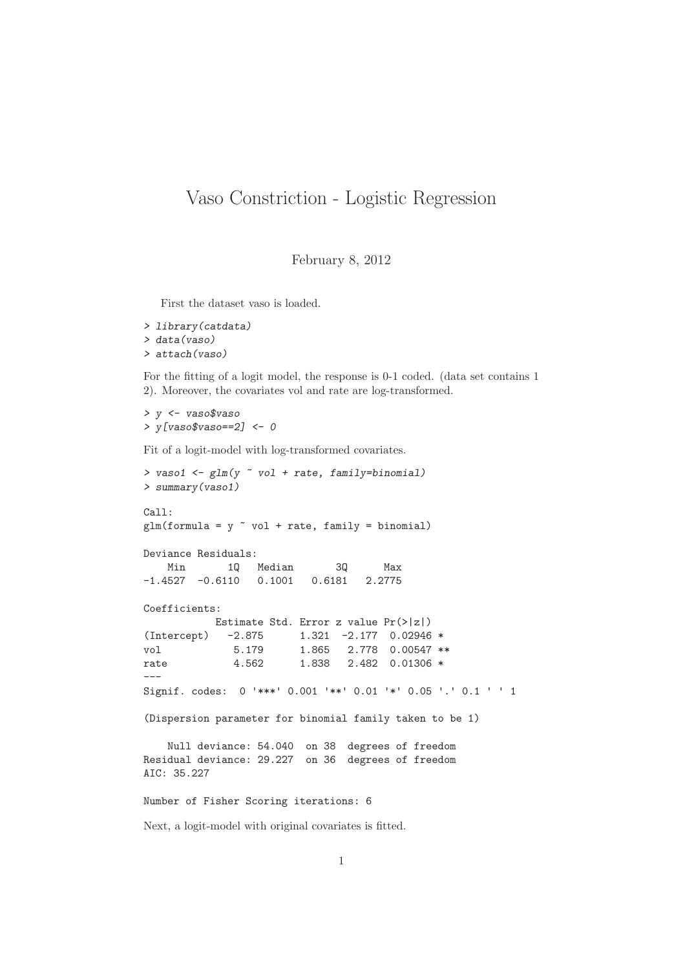## Vaso Constriction - Logistic Regression

February 8, 2012

First the dataset vaso is loaded.

```
> library(catdata)
> data(vaso)
> attach(vaso)
```
For the fitting of a logit model, the response is 0-1 coded. (data set contains 1 2). Moreover, the covariates vol and rate are log-transformed.

> y <- vaso\$vaso  $> y [vaso$vaso==2] < -0$ 

Fit of a logit-model with log-transformed covariates.

```
> vaso1 \leq \sigmalm(y \sim vol + rate, family=binomial)
> summary(vaso1)
Call:
glm(formula = y \text{~}^ \circ vol + rate, family = binomial)Deviance Residuals:
   Min 1Q Median 3Q Max
-1.4527 -0.6110 0.1001 0.6181 2.2775
Coefficients:
          Estimate Std. Error z value Pr(>|z|)
(Intercept) -2.875 1.321 -2.177 0.02946 *
vol 5.179 1.865 2.778 0.00547 **
rate 4.562 1.838 2.482 0.01306 *
---
Signif. codes: 0 '***' 0.001 '**' 0.01 '*' 0.05 '.' 0.1 ' ' 1
(Dispersion parameter for binomial family taken to be 1)
   Null deviance: 54.040 on 38 degrees of freedom
Residual deviance: 29.227 on 36 degrees of freedom
AIC: 35.227
Number of Fisher Scoring iterations: 6
```
Next, a logit-model with original covariates is fitted.